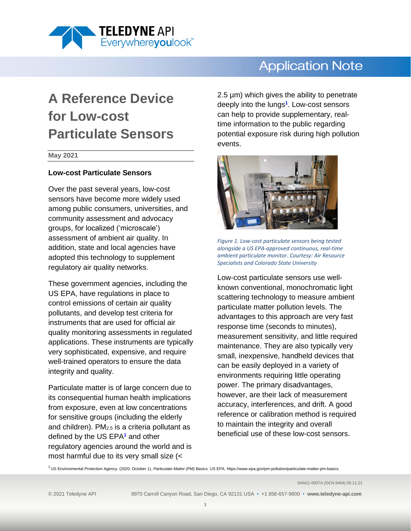

## **Application Note**

# **A Reference Device for Low-cost Particulate Sensors**

**May 2021**

#### **Low-cost Particulate Sensors**

Over the past several years, low-cost sensors have become more widely used among public consumers, universities, and community assessment and advocacy groups, for localized ('microscale') assessment of ambient air quality. In addition, state and local agencies have adopted this technology to supplement regulatory air quality networks.

These government agencies, including the US EPA, have regulations in place to control emissions of certain air quality pollutants, and develop test criteria for instruments that are used for official air quality monitoring assessments in regulated applications. These instruments are typically very sophisticated, expensive, and require well-trained operators to ensure the data integrity and quality.

Particulate matter is of large concern due to its consequential human health implications from exposure, even at low concentrations for sensitive groups (including the elderly and children).  $PM<sub>2.5</sub>$  is a criteria pollutant as defined by the US EP[A](https://www.epa.gov/pm-pollution/particulate-matter-pm-basics)**<sup>1</sup>** and other regulatory agencies around the world and is most harmful due to its very small size (<

2.5 µm) which gives the ability to penetrate deeply into the lungs**[1](https://www.epa.gov/pm-pollution/particulate-matter-pm-basics)** . Low-cost sensors can help to provide supplementary, realtime information to the public regarding potential exposure risk during high pollution events.



*Figure 1. Low-cost particulate sensors being tested alongside a US EPA-approved continuous, real-time ambient particulate monitor. Courtesy: Air Resource Specialists and Colorado State University*

Low-cost particulate sensors use wellknown conventional, monochromatic light scattering technology to measure ambient particulate matter pollution levels. The advantages to this approach are very fast response time (seconds to minutes), measurement sensitivity, and little required maintenance. They are also typically very small, inexpensive, handheld devices that can be easily deployed in a variety of environments requiring little operating power. The primary disadvantages, however, are their lack of measurement accuracy, interferences, and drift. A good reference or calibration method is required to maintain the integrity and overall beneficial use of these low-cost sensors.

SAN21-0007A (DCN 8404) 05.11.21

<sup>1</sup> US Environmental Protection Agency. (2020, October 1). *Particulate Matter (PM) Basics.* US EPA. https://www.epa.gov/pm-pollution/particulate-matter-pm-basics.